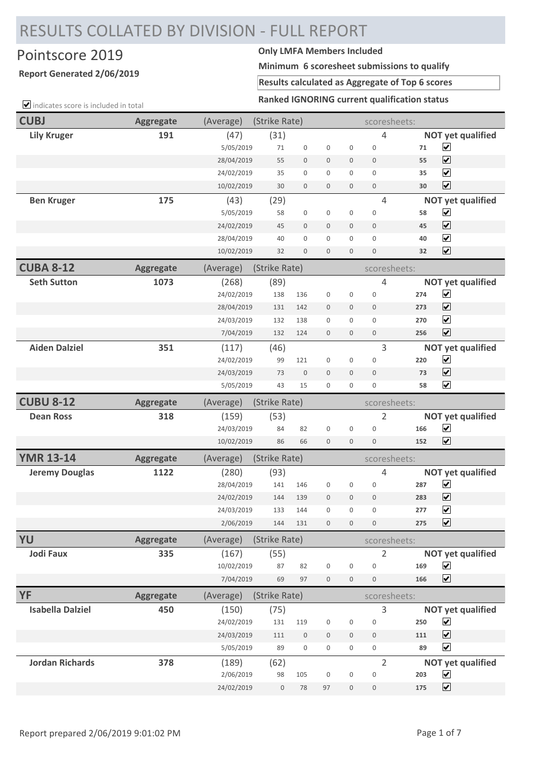## RESULTS COLLATED BY DIVISION - FULL REPORT

## Pointscore 2019 **Only LMFA Members Included**

## **Report Generated 2/06/2019**

**Minimum 6 scoresheet submissions to qualify**

**Results calculated as Aggregate of Top 6 scores**

**Ranked IGNORING current qualification status**

| $\Box$ indicates score is included in total | Ranked IGNORING current qualification status |            |                  |                  |                  |                     |                  |     |                          |  |
|---------------------------------------------|----------------------------------------------|------------|------------------|------------------|------------------|---------------------|------------------|-----|--------------------------|--|
| <b>CUBJ</b>                                 | <b>Aggregate</b>                             | (Average)  | (Strike Rate)    |                  |                  | scoresheets:        |                  |     |                          |  |
| <b>Lily Kruger</b>                          | 191                                          | (47)       | (31)             |                  |                  |                     | 4                |     | <b>NOT yet qualified</b> |  |
|                                             |                                              | 5/05/2019  | 71               | $\mathbf 0$      | $\boldsymbol{0}$ | $\boldsymbol{0}$    | $\mathsf 0$      | 71  | $\blacktriangledown$     |  |
|                                             |                                              | 28/04/2019 | 55               | $\mathbf 0$      | $\mathbf 0$      | $\overline{0}$      | $\mathbf{0}$     | 55  | $\blacktriangledown$     |  |
|                                             |                                              | 24/02/2019 | 35               | 0                | $\mathbf{0}$     | $\mathbf 0$         | $\mathbf 0$      | 35  | $\blacktriangledown$     |  |
|                                             |                                              | 10/02/2019 | 30               | $\mathbf 0$      | $\mathbf 0$      | $\mathbf 0$         | $\boldsymbol{0}$ | 30  | $\blacktriangledown$     |  |
| <b>Ben Kruger</b>                           | 175                                          | (43)       | (29)             |                  |                  |                     | 4                |     | <b>NOT yet qualified</b> |  |
|                                             |                                              | 5/05/2019  | 58               | $\boldsymbol{0}$ | $\mathbf 0$      | $\overline{0}$      | $\mathbf 0$      | 58  | $\blacktriangledown$     |  |
|                                             |                                              | 24/02/2019 | 45               | $\mathbf 0$      | $\boldsymbol{0}$ | $\mathbf 0$         | $\mathbf{0}$     | 45  | $\blacktriangledown$     |  |
|                                             |                                              | 28/04/2019 | 40               | 0                | $\boldsymbol{0}$ | 0                   | $\boldsymbol{0}$ | 40  | $\blacktriangledown$     |  |
|                                             |                                              | 10/02/2019 | 32               | $\boldsymbol{0}$ | $\boldsymbol{0}$ | $\mathsf{O}\xspace$ | $\boldsymbol{0}$ | 32  | $\blacktriangleright$    |  |
| <b>CUBA 8-12</b>                            | <b>Aggregate</b>                             | (Average)  | (Strike Rate)    |                  |                  |                     | scoresheets:     |     |                          |  |
| <b>Seth Sutton</b>                          | 1073                                         | (268)      | (89)             |                  |                  |                     | 4                |     | <b>NOT yet qualified</b> |  |
|                                             |                                              | 24/02/2019 | 138              | 136              | $\boldsymbol{0}$ | $\mathsf 0$         | $\mathbf 0$      | 274 | $\blacktriangledown$     |  |
|                                             |                                              | 28/04/2019 | 131              | 142              | $\mathbf 0$      | $\mathbf 0$         | $\mathbf 0$      | 273 | $\overline{\mathbf{v}}$  |  |
|                                             |                                              | 24/03/2019 | 132              | 138              | $\mathbf{0}$     | $\mathbf{0}$        | $\mathbf{0}$     | 270 | $\blacktriangledown$     |  |
|                                             |                                              | 7/04/2019  | 132              | 124              | $\boldsymbol{0}$ | $\mathbf 0$         | $\boldsymbol{0}$ | 256 | $\blacktriangledown$     |  |
| <b>Aiden Dalziel</b>                        | 351                                          | (117)      | (46)             |                  |                  |                     | 3                |     | <b>NOT yet qualified</b> |  |
|                                             |                                              | 24/02/2019 | 99               | 121              | $\boldsymbol{0}$ | $\mathsf 0$         | $\mathbf 0$      | 220 | $\blacktriangledown$     |  |
|                                             |                                              | 24/03/2019 | 73               | $\mathbf 0$      | $\boldsymbol{0}$ | $\mathbf 0$         | $\mathbf 0$      | 73  | $\blacktriangledown$     |  |
|                                             |                                              | 5/05/2019  | 43               | 15               | $\boldsymbol{0}$ | $\boldsymbol{0}$    | $\boldsymbol{0}$ | 58  | $\overline{\mathbf{v}}$  |  |
| <b>CUBU 8-12</b>                            | <b>Aggregate</b>                             | (Average)  | (Strike Rate)    |                  |                  |                     | scoresheets:     |     |                          |  |
| <b>Dean Ross</b>                            | 318                                          | (159)      | (53)             |                  |                  |                     | 2                |     | <b>NOT yet qualified</b> |  |
|                                             |                                              | 24/03/2019 | 84               | 82               | $\boldsymbol{0}$ | $\mathbf 0$         | $\mathbf{0}$     | 166 | $\blacktriangledown$     |  |
|                                             |                                              | 10/02/2019 | 86               | 66               | $\boldsymbol{0}$ | $\boldsymbol{0}$    | $\mathbf 0$      | 152 | $\overline{\mathbf{v}}$  |  |
| <b>YMR 13-14</b>                            | <b>Aggregate</b>                             | (Average)  | (Strike Rate)    |                  |                  |                     | scoresheets:     |     |                          |  |
| <b>Jeremy Douglas</b>                       | 1122                                         | (280)      | (93)             |                  |                  |                     | 4                |     | <b>NOT yet qualified</b> |  |
|                                             |                                              | 28/04/2019 | 141              | 146              | $\boldsymbol{0}$ | 0                   | $\boldsymbol{0}$ | 287 | $\blacktriangledown$     |  |
|                                             |                                              | 24/02/2019 | 144              | 139              | $\overline{0}$   | $\mathbf 0$         | $\mathbf 0$      | 283 | $\blacktriangledown$     |  |
|                                             |                                              | 24/03/2019 | 133              | 144              | $\boldsymbol{0}$ | $\mathbf 0$         | $\mathbf{0}$     | 277 | $\blacktriangledown$     |  |
|                                             |                                              | 2/06/2019  | 144              | 131              | $\boldsymbol{0}$ | $\mathbf{0}$        | $\boldsymbol{0}$ | 275 | $\overline{\mathbf{v}}$  |  |
| YU                                          | <b>Aggregate</b>                             | (Average)  | (Strike Rate)    |                  |                  |                     | scoresheets:     |     |                          |  |
| <b>Jodi Faux</b>                            | 335                                          | (167)      | (55)             |                  |                  |                     | 2                |     | <b>NOT yet qualified</b> |  |
|                                             |                                              | 10/02/2019 | 87               | 82               | $\boldsymbol{0}$ | $\boldsymbol{0}$    | $\mathbf 0$      | 169 | $\blacktriangledown$     |  |
|                                             |                                              | 7/04/2019  | 69               | 97               | $\boldsymbol{0}$ | $\boldsymbol{0}$    | $\boldsymbol{0}$ | 166 | $\overline{\mathbf{v}}$  |  |
| YF                                          | <b>Aggregate</b>                             | (Average)  | (Strike Rate)    |                  |                  |                     | scoresheets:     |     |                          |  |
| <b>Isabella Dalziel</b>                     | 450                                          | (150)      | (75)             |                  |                  |                     | 3                |     | <b>NOT yet qualified</b> |  |
|                                             |                                              | 24/02/2019 | 131              | 119              | $\boldsymbol{0}$ | $\boldsymbol{0}$    | $\boldsymbol{0}$ | 250 | $\blacktriangledown$     |  |
|                                             |                                              | 24/03/2019 | 111              | $\boldsymbol{0}$ | $\boldsymbol{0}$ | $\mathbf 0$         | $\mathbf 0$      | 111 | $\overline{\mathbf{v}}$  |  |
|                                             |                                              | 5/05/2019  | 89               | 0                | $\boldsymbol{0}$ | $\mathbf{0}$        | $\boldsymbol{0}$ | 89  | $\blacktriangledown$     |  |
| <b>Jordan Richards</b>                      | 378                                          | (189)      | (62)             |                  |                  |                     | $\overline{2}$   |     | <b>NOT yet qualified</b> |  |
|                                             |                                              | 2/06/2019  | 98               | 105              | $\boldsymbol{0}$ | $\boldsymbol{0}$    | $\boldsymbol{0}$ | 203 | $\blacktriangledown$     |  |
|                                             |                                              | 24/02/2019 | $\boldsymbol{0}$ | $78\,$           | 97               | $\boldsymbol{0}$    | $\boldsymbol{0}$ | 175 | $\blacktriangledown$     |  |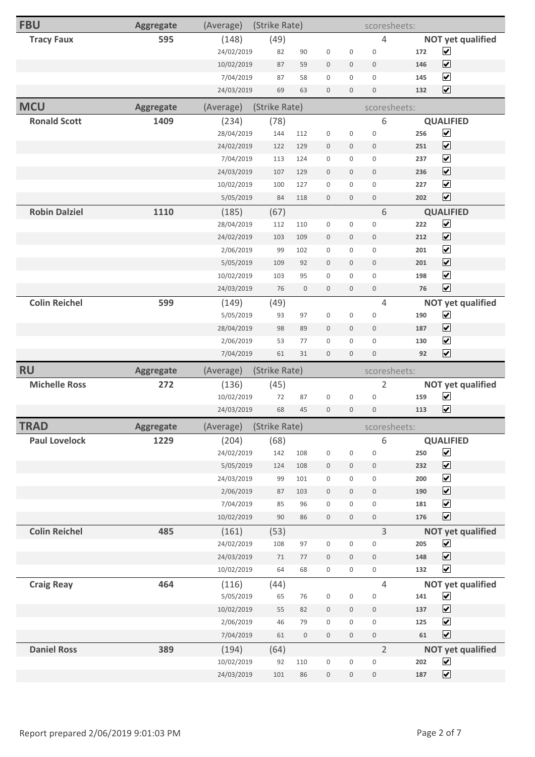| <b>FBU</b>           | <b>Aggregate</b> | (Average)                | (Strike Rate) |           |                             |                                      | scoresheets:                         |            |                                              |  |
|----------------------|------------------|--------------------------|---------------|-----------|-----------------------------|--------------------------------------|--------------------------------------|------------|----------------------------------------------|--|
| <b>Tracy Faux</b>    | 595              | (148)                    | (49)          |           |                             |                                      | $\overline{4}$                       |            | <b>NOT yet qualified</b>                     |  |
|                      |                  | 24/02/2019               | 82            | 90        | $\boldsymbol{0}$            | $\boldsymbol{0}$                     | $\boldsymbol{0}$                     | 172        | $\blacktriangledown$                         |  |
|                      |                  | 10/02/2019               | 87            | 59        | $\bf 0$                     | $\mathbf 0$                          | $\mathbf 0$                          | 146        | $\blacktriangledown$                         |  |
|                      |                  | 7/04/2019                | 87            | 58        | $\boldsymbol{0}$            | $\boldsymbol{0}$                     | $\mathbf 0$                          | 145        | $\blacktriangledown$                         |  |
|                      |                  | 24/03/2019               | 69            | 63        | $\boldsymbol{0}$            | $\boldsymbol{0}$                     | $\boldsymbol{0}$                     | 132        | $\blacktriangledown$                         |  |
| <b>MCU</b>           | <b>Aggregate</b> | (Average)                | (Strike Rate) |           |                             |                                      | scoresheets:                         |            |                                              |  |
| <b>Ronald Scott</b>  | 1409             | (234)                    | (78)          |           |                             |                                      | 6                                    |            | <b>QUALIFIED</b>                             |  |
|                      |                  | 28/04/2019               | 144           | 112       | $\boldsymbol{0}$            | $\boldsymbol{0}$                     | $\boldsymbol{0}$                     | 256        | $\blacktriangledown$                         |  |
|                      |                  | 24/02/2019               | 122           | 129       | $\bf 0$                     | $\mathbf 0$                          | $\mathbf 0$                          | 251        | $\blacktriangledown$                         |  |
|                      |                  | 7/04/2019                | 113           | 124       | $\boldsymbol{0}$            | $\boldsymbol{0}$                     | $\boldsymbol{0}$                     | 237        | $\blacktriangledown$                         |  |
|                      |                  | 24/03/2019               | 107           | 129       | $\boldsymbol{0}$            | $\boldsymbol{0}$                     | $\mathbf 0$                          | 236        | $\blacktriangledown$                         |  |
|                      |                  | 10/02/2019               | 100           | 127       | $\mathbf 0$                 | $\boldsymbol{0}$                     | $\boldsymbol{0}$                     | 227        | $\blacktriangledown$                         |  |
|                      |                  | 5/05/2019                | 84            | 118       | $\boldsymbol{0}$            | $\boldsymbol{0}$                     | $\boldsymbol{0}$                     | 202        | $\blacktriangledown$                         |  |
| <b>Robin Dalziel</b> | 1110             | (185)                    | (67)          |           |                             |                                      | 6                                    |            | <b>QUALIFIED</b>                             |  |
|                      |                  | 28/04/2019               | 112           | 110       | $\boldsymbol{0}$            | $\boldsymbol{0}$                     | $\boldsymbol{0}$                     | 222        | $\blacktriangledown$                         |  |
|                      |                  | 24/02/2019               | 103           | 109       | $\bf 0$                     | $\mathbf 0$                          | $\boldsymbol{0}$                     | 212        | $\blacktriangledown$                         |  |
|                      |                  | 2/06/2019                | 99            | 102       | $\boldsymbol{0}$            | $\boldsymbol{0}$                     | $\mathsf{O}\xspace$                  | 201        | $\blacktriangledown$                         |  |
|                      |                  | 5/05/2019                | 109           | 92        | $\boldsymbol{0}$            | $\mathbf 0$                          | $\mathbf 0$                          | 201        | $\blacktriangledown$                         |  |
|                      |                  | 10/02/2019               | 103           | 95        | $\mathbf 0$                 | $\mathbf 0$                          | $\mathbf 0$                          | 198        | $\blacktriangledown$                         |  |
|                      |                  | 24/03/2019               | 76            | $\bf 0$   | $\bf 0$                     | $\boldsymbol{0}$                     | $\boldsymbol{0}$                     | 76         | $\blacktriangledown$                         |  |
| <b>Colin Reichel</b> | 599              | (149)                    | (49)          |           |                             |                                      | $\overline{4}$                       |            | <b>NOT yet qualified</b>                     |  |
|                      |                  | 5/05/2019                | 93            | 97        | $\boldsymbol{0}$            | $\boldsymbol{0}$                     | $\boldsymbol{0}$                     | 190        | $\blacktriangledown$                         |  |
|                      |                  | 28/04/2019               | 98            | 89        | $\bf 0$                     | $\boldsymbol{0}$                     | $\mathbf 0$                          | 187        | $\blacktriangledown$                         |  |
|                      |                  | 2/06/2019                | 53            | 77        | $\boldsymbol{0}$            | $\boldsymbol{0}$                     | $\boldsymbol{0}$                     | 130        | $\blacktriangledown$                         |  |
|                      |                  |                          |               |           |                             |                                      |                                      |            |                                              |  |
|                      |                  | 7/04/2019                | 61            | 31        | $\mathbf 0$                 | $\mathbf 0$                          | $\boldsymbol{0}$                     | 92         | $\overline{\mathbf{v}}$                      |  |
| <b>RU</b>            | <b>Aggregate</b> | (Average)                | (Strike Rate) |           |                             |                                      | scoresheets:                         |            |                                              |  |
| <b>Michelle Ross</b> | 272              | (136)                    | (45)          |           |                             |                                      | $\overline{2}$                       |            | <b>NOT yet qualified</b>                     |  |
|                      |                  | 10/02/2019               | $72\,$        | 87        | $\boldsymbol{0}$            | $\boldsymbol{0}$                     | $\boldsymbol{0}$                     | 159        | $\blacktriangleright$                        |  |
|                      |                  | 24/03/2019               | 68            | 45        | $\mathbf{0}$                | $\boldsymbol{0}$                     | $\boldsymbol{0}$                     | 113        | $\blacktriangledown$                         |  |
| <b>TRAD</b>          | Aggregate        | (Average)                | (Strike Rate) |           |                             |                                      | scoresheets:                         |            |                                              |  |
| <b>Paul Lovelock</b> | 1229             | (204)                    | (68)          |           |                             |                                      | 6                                    |            | <b>QUALIFIED</b>                             |  |
|                      |                  | 24/02/2019               | 142           | 108       | $\boldsymbol{0}$            | $\mathsf{O}\xspace$                  | $\boldsymbol{0}$                     | 250        | $\blacktriangledown$                         |  |
|                      |                  | 5/05/2019                | 124           | 108       | $\boldsymbol{0}$            | $\boldsymbol{0}$                     | $\,0\,$                              | 232        | $\blacktriangledown$                         |  |
|                      |                  | 24/03/2019               | 99            | 101       | $\boldsymbol{0}$            | $\boldsymbol{0}$                     | $\boldsymbol{0}$                     | 200        | $\blacktriangledown$                         |  |
|                      |                  | 2/06/2019                | 87            | 103       | $\mathbf 0$                 | $\boldsymbol{0}$                     | $\boldsymbol{0}$                     | 190        | $\blacktriangledown$                         |  |
|                      |                  | 7/04/2019                | 85            | 96        | $\boldsymbol{0}$            | $\boldsymbol{0}$                     | $\boldsymbol{0}$                     | 181        | $\blacktriangledown$                         |  |
|                      |                  | 10/02/2019               | $90\,$        | 86        | $\boldsymbol{0}$            | $\boldsymbol{0}$                     | $\boldsymbol{0}$                     | 176        | $\blacktriangledown$                         |  |
| <b>Colin Reichel</b> | 485              | (161)                    | (53)          |           |                             |                                      | $\overline{3}$                       |            | <b>NOT yet qualified</b>                     |  |
|                      |                  | 24/02/2019               | 108           | 97        | $\boldsymbol{0}$            | $\boldsymbol{0}$                     | $\boldsymbol{0}$                     | 205        | $\blacktriangledown$                         |  |
|                      |                  | 24/03/2019               | $71\,$        | $77 \,$   | $\mathbf 0$                 | $\boldsymbol{0}$                     | $\,0\,$                              | 148        | $\blacktriangledown$                         |  |
|                      |                  | 10/02/2019               | 64            | 68        | $\boldsymbol{0}$            | $\boldsymbol{0}$                     | $\boldsymbol{0}$                     | 132        | $\blacktriangledown$                         |  |
| <b>Craig Reay</b>    | 464              | (116)                    | (44)          |           |                             |                                      | $\overline{4}$                       |            | <b>NOT yet qualified</b>                     |  |
|                      |                  | 5/05/2019                | 65            | 76        | $\boldsymbol{0}$            | $\boldsymbol{0}$                     | $\boldsymbol{0}$                     | 141        | $\blacktriangledown$                         |  |
|                      |                  | 10/02/2019               | 55            | 82        | $\mathbf 0$                 | $\boldsymbol{0}$                     | $\,0\,$                              | 137        | $\blacktriangledown$                         |  |
|                      |                  | 2/06/2019                | 46            | 79        | $\boldsymbol{0}$            | $\boldsymbol{0}$                     | $\boldsymbol{0}$                     | 125        | $\blacktriangledown$                         |  |
|                      |                  | 7/04/2019                | 61            | $\,0\,$   | $\,0\,$                     | $\boldsymbol{0}$                     | $\boldsymbol{0}$                     | 61         | $\blacktriangledown$                         |  |
| <b>Daniel Ross</b>   | 389              | (194)                    | (64)          |           |                             |                                      | $\overline{2}$                       |            | <b>NOT yet qualified</b>                     |  |
|                      |                  | 10/02/2019<br>24/03/2019 | 92<br>101     | 110<br>86 | $\boldsymbol{0}$<br>$\bf 0$ | $\boldsymbol{0}$<br>$\boldsymbol{0}$ | $\boldsymbol{0}$<br>$\boldsymbol{0}$ | 202<br>187 | $\blacktriangledown$<br>$\blacktriangledown$ |  |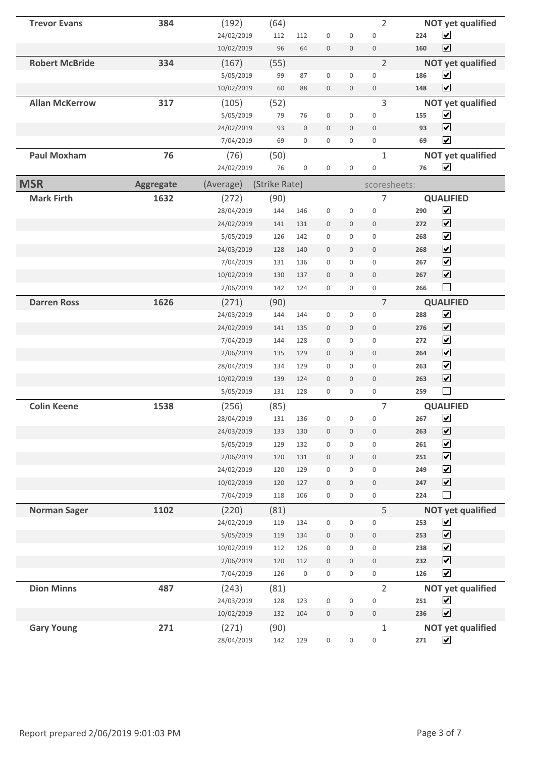| <b>Trevor Evans</b>   | 384              | (192)      | (64)          |                     |                     |                     | $\overline{2}$      | <b>NOT yet qualified</b>               |
|-----------------------|------------------|------------|---------------|---------------------|---------------------|---------------------|---------------------|----------------------------------------|
|                       |                  | 24/02/2019 | 112           | 112                 | $\mathbf 0$         | $\mathsf{O}\xspace$ | $\boldsymbol{0}$    | $\overline{\mathbf{v}}$<br>224         |
|                       |                  | 10/02/2019 | 96            | 64                  | $\mathbf 0$         | $\mathbf 0$         | $\mathbf 0$         | $\blacktriangleright$<br>160           |
| <b>Robert McBride</b> | 334              | (167)      | (55)          |                     |                     |                     | $\overline{2}$      | <b>NOT yet qualified</b>               |
|                       |                  | 5/05/2019  | 99            | 87                  | $\mathbf 0$         | $\mathbf 0$         | $\mathbf 0$         | $\blacktriangledown$<br>186            |
|                       |                  | 10/02/2019 | 60            | 88                  | $\mathbf 0$         | $\mathbf 0$         | $\boldsymbol{0}$    | $\overline{\mathbf{v}}$<br>148         |
| <b>Allan McKerrow</b> | 317              | (105)      | (52)          |                     |                     |                     | $\mathbf{3}$        | <b>NOT yet qualified</b>               |
|                       |                  | 5/05/2019  | 79            | 76                  | $\boldsymbol{0}$    | $\boldsymbol{0}$    | $\boldsymbol{0}$    | $\blacktriangledown$<br>155            |
|                       |                  | 24/02/2019 | 93            | $\mathbb O$         | $\boldsymbol{0}$    | $\mathbf 0$         | $\mathbf 0$         | $\overline{\mathbf{v}}$<br>93          |
|                       |                  | 7/04/2019  | 69            | $\mathbf 0$         | 0                   | $\mathbf 0$         | $\mathbf 0$         | $\blacktriangledown$<br>69             |
| <b>Paul Moxham</b>    | 76               | (76)       | (50)          |                     |                     |                     | $\mathbf{1}$        | <b>NOT yet qualified</b>               |
|                       |                  | 24/02/2019 | 76            | $\boldsymbol{0}$    | $\boldsymbol{0}$    | $\boldsymbol{0}$    | $\boldsymbol{0}$    | $\blacktriangledown$<br>76             |
| <b>MSR</b>            | <b>Aggregate</b> | (Average)  | (Strike Rate) |                     |                     |                     | scoresheets:        |                                        |
| <b>Mark Firth</b>     | 1632             | (272)      | (90)          |                     |                     |                     | 7                   | <b>QUALIFIED</b>                       |
|                       |                  | 28/04/2019 | 144           | 146                 | $\boldsymbol{0}$    | $\boldsymbol{0}$    | $\boldsymbol{0}$    | $\blacktriangledown$<br>290            |
|                       |                  | 24/02/2019 | 141           | 131                 | $\boldsymbol{0}$    | $\mathbf 0$         | $\mathbf 0$         | $\overline{\mathbf{v}}$<br>272         |
|                       |                  | 5/05/2019  | 126           | 142                 | $\mathbf 0$         | $\mathbf{0}$        | $\mathbf{0}$        | $\overline{\mathbf{v}}$<br>268         |
|                       |                  | 24/03/2019 | 128           | 140                 | $\mathbf 0$         | $\mathbf 0$         | $\mathbf{0}$        | $\blacktriangledown$<br>268            |
|                       |                  | 7/04/2019  | 131           | 136                 | $\mathbf 0$         | $\mathbf 0$         | $\mathbf 0$         | $\overline{\mathbf{v}}$<br>267         |
|                       |                  | 10/02/2019 | 130           | 137                 | $\mathbf 0$         | $\mathbf 0$         | $\mathbf 0$         | $\overline{\blacktriangledown}$<br>267 |
|                       |                  | 2/06/2019  | 142           | 124                 | $\mathbf 0$         | $\mathbf 0$         | $\mathbf 0$         | $\Box$<br>266                          |
| <b>Darren Ross</b>    | 1626             | (271)      | (90)          |                     |                     |                     | $\overline{7}$      | <b>QUALIFIED</b>                       |
|                       |                  | 24/03/2019 | 144           | 144                 | $\boldsymbol{0}$    | $\boldsymbol{0}$    | $\boldsymbol{0}$    | $\blacktriangledown$<br>288            |
|                       |                  | 24/02/2019 | 141           | 135                 | $\mathbf 0$         | $\mathbf 0$         | $\mathbf 0$         | $\blacktriangledown$<br>276            |
|                       |                  | 7/04/2019  | 144           | 128                 | $\boldsymbol{0}$    | $\mathbf 0$         | $\mathbf 0$         | $\overline{\mathbf{v}}$<br>272         |
|                       |                  | 2/06/2019  | 135           | 129                 | $\mathbf 0$         | $\mathbf 0$         | $\mathbf 0$         | $\blacktriangledown$<br>264            |
|                       |                  | 28/04/2019 | 134           | 129                 | $\mathbf 0$         | $\mathbf{0}$        | $\mathbf{0}$        | $\blacktriangledown$<br>263            |
|                       |                  | 10/02/2019 | 139           | 124                 | $\mathbf 0$         | $\mathbf 0$         | $\mathbf 0$         | $\blacktriangledown$<br>263            |
|                       |                  | 5/05/2019  | 131           | 128                 | $\mathbf 0$         | $\mathbf 0$         | $\mathsf{O}\xspace$ | 259                                    |
| <b>Colin Keene</b>    | 1538             | (256)      | (85)          |                     |                     |                     | $\overline{7}$      | <b>QUALIFIED</b>                       |
|                       |                  | 28/04/2019 | 131           | 136                 | $\boldsymbol{0}$    | $\mathsf{O}\xspace$ | 0                   | $\blacktriangledown$<br>267            |
|                       |                  | 24/03/2019 | 133           | 130                 | $\boldsymbol{0}$    | $\mathbf 0$         | $\boldsymbol{0}$    | $\overline{\mathbf{v}}$<br>263         |
|                       |                  | 5/05/2019  | 129           | 132                 | $\boldsymbol{0}$    | $\mathbf 0$         | $\mathsf{O}\xspace$ | $\blacktriangledown$<br>261            |
|                       |                  | 2/06/2019  | 120           | 131                 | $\boldsymbol{0}$    | $\mathsf{O}\xspace$ | $\boldsymbol{0}$    | $\blacktriangledown$<br>251            |
|                       |                  | 24/02/2019 | 120           | 129                 | $\mathsf{O}\xspace$ | $\mathsf{O}\xspace$ | $\mathsf{O}\xspace$ | $\overline{\mathbf{v}}$<br>249         |
|                       |                  | 10/02/2019 | 120           | 127                 | $\boldsymbol{0}$    | $\mathbf 0$         | $\boldsymbol{0}$    | $\blacktriangledown$<br>247            |
|                       |                  | 7/04/2019  | 118           | 106                 | $\mathsf{O}\xspace$ | $\mathsf{O}\xspace$ | $\mathsf{O}\xspace$ | $\Box$<br>224                          |
| <b>Norman Sager</b>   | 1102             | (220)      | (81)          |                     |                     |                     | 5                   | <b>NOT yet qualified</b>               |
|                       |                  | 24/02/2019 | 119           | 134                 | $\mathsf{O}\xspace$ | $\boldsymbol{0}$    | $\mathsf{O}\xspace$ | $\blacktriangledown$<br>253            |
|                       |                  | 5/05/2019  | 119           | 134                 | $\mathbb O$         | $\mathsf{O}$        | $\boldsymbol{0}$    | $\overline{\mathbf{v}}$<br>253         |
|                       |                  | 10/02/2019 | 112           | 126                 | $\mathsf{O}\xspace$ | $\mathsf{O}\xspace$ | $\mathsf{O}\xspace$ | $\overline{\mathbf{v}}$<br>238         |
|                       |                  | 2/06/2019  | 120           | 112                 | $\mathsf{O}\xspace$ | $\mathbf 0$         | $\mathsf{O}\xspace$ | $\blacktriangledown$<br>232            |
|                       |                  | 7/04/2019  | 126           | $\mathsf{O}\xspace$ | 0                   | $\mathbf 0$         | $\mathsf{O}\xspace$ | $\blacktriangledown$<br>126            |
| <b>Dion Minns</b>     | 487              | (243)      | (81)          |                     |                     |                     | $\overline{2}$      | <b>NOT yet qualified</b>               |
|                       |                  | 24/03/2019 | 128           | 123                 | $\boldsymbol{0}$    | $\boldsymbol{0}$    | $\boldsymbol{0}$    | $\blacktriangledown$<br>251            |
|                       |                  | 10/02/2019 | 132           | 104                 | $\boldsymbol{0}$    | $\boldsymbol{0}$    | $\boldsymbol{0}$    | $\blacktriangledown$<br>236            |
| <b>Gary Young</b>     | 271              | (271)      | (90)          |                     |                     |                     | $1\,$               | <b>NOT yet qualified</b>               |
|                       |                  | 28/04/2019 | 142           | 129                 | $\boldsymbol{0}$    | $\boldsymbol{0}$    | $\boldsymbol{0}$    | $\blacktriangledown$<br>271            |
|                       |                  |            |               |                     |                     |                     |                     |                                        |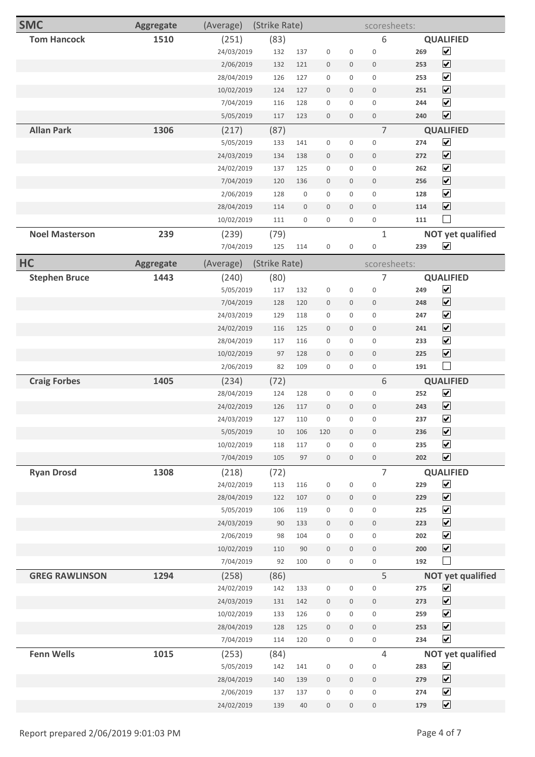| <b>SMC</b>            | <b>Aggregate</b> | (Average)               | (Strike Rate) |                  |                                      |                                 | scoresheets:                |            |                                              |
|-----------------------|------------------|-------------------------|---------------|------------------|--------------------------------------|---------------------------------|-----------------------------|------------|----------------------------------------------|
| <b>Tom Hancock</b>    | 1510             | (251)                   | (83)          |                  |                                      |                                 | 6                           |            | <b>QUALIFIED</b>                             |
|                       |                  | 24/03/2019              | 132           | 137              | $\boldsymbol{0}$                     | $\boldsymbol{0}$                | $\boldsymbol{0}$            | 269        | $\blacktriangledown$                         |
|                       |                  | 2/06/2019               | 132           | 121              | $\boldsymbol{0}$                     | $\mathbf 0$                     | $\boldsymbol{0}$            | 253        | $\blacktriangledown$                         |
|                       |                  | 28/04/2019              | 126           | 127              | $\boldsymbol{0}$                     | $\mathbf 0$                     | $\boldsymbol{0}$            | 253        | $\blacktriangledown$                         |
|                       |                  | 10/02/2019              | 124           | 127              | $\boldsymbol{0}$                     | $\mathsf{O}\xspace$             | $\boldsymbol{0}$            | 251        | $\blacktriangledown$                         |
|                       |                  | 7/04/2019               | 116           | 128              | $\boldsymbol{0}$                     | $\boldsymbol{0}$                | $\boldsymbol{0}$            | 244        | $\blacktriangledown$                         |
|                       |                  | 5/05/2019               | 117           | 123              | $\boldsymbol{0}$                     | $\boldsymbol{0}$                | $\boldsymbol{0}$            | 240        | $\blacktriangledown$                         |
| <b>Allan Park</b>     | 1306             | (217)                   | (87)          |                  |                                      |                                 | $\overline{7}$              |            | <b>QUALIFIED</b>                             |
|                       |                  | 5/05/2019               | 133           | 141              | $\boldsymbol{0}$                     | $\boldsymbol{0}$                | $\boldsymbol{0}$            | 274        | $\blacktriangledown$                         |
|                       |                  | 24/03/2019              | 134           | 138              | $\boldsymbol{0}$                     | $\mathsf{O}\xspace$             | $\boldsymbol{0}$            | 272        | $\blacktriangledown$                         |
|                       |                  | 24/02/2019              | 137           | 125              | $\boldsymbol{0}$                     | 0                               | $\mathbf 0$                 | 262        | $\blacktriangledown$                         |
|                       |                  | 7/04/2019               | 120           | 136              | $\bf 0$                              | $\boldsymbol{0}$                | $\boldsymbol{0}$            | 256        | $\blacktriangledown$                         |
|                       |                  | 2/06/2019               | 128           | $\boldsymbol{0}$ | $\boldsymbol{0}$                     | $\mathsf{O}\xspace$             | $\boldsymbol{0}$            | 128        | $\blacktriangledown$                         |
|                       |                  | 28/04/2019              | 114           | $\mathbf 0$      | $\boldsymbol{0}$                     | $\mathbf 0$                     | $\boldsymbol{0}$            | 114        | $\blacktriangledown$                         |
|                       |                  | 10/02/2019              | 111           | 0                | $\boldsymbol{0}$                     | 0                               | $\mathsf{O}\xspace$         | 111        | $\vert \ \ \vert$                            |
| <b>Noel Masterson</b> | 239              | (239)                   | (79)          |                  |                                      |                                 | $\mathbf{1}$                |            | <b>NOT yet qualified</b>                     |
|                       |                  | 7/04/2019               | 125           | 114              | $\boldsymbol{0}$                     | $\boldsymbol{0}$                | $\boldsymbol{0}$            | 239        | $\blacktriangledown$                         |
| HC                    | <b>Aggregate</b> | (Average)               | (Strike Rate) |                  |                                      |                                 | scoresheets:                |            |                                              |
| <b>Stephen Bruce</b>  | 1443             | (240)                   | (80)          |                  |                                      |                                 | 7                           |            | <b>QUALIFIED</b>                             |
|                       |                  | 5/05/2019               | 117           | 132              | $\boldsymbol{0}$                     | $\boldsymbol{0}$                | $\boldsymbol{0}$            | 249        | $\blacktriangledown$                         |
|                       |                  | 7/04/2019               | 128           | 120              | $\bf 0$                              | $\mathbf 0$                     | $\boldsymbol{0}$            | 248        | $\blacktriangledown$                         |
|                       |                  | 24/03/2019              | 129           | 118              | $\boldsymbol{0}$                     | $\mathbf 0$                     | $\boldsymbol{0}$            | 247        | $\blacktriangledown$                         |
|                       |                  | 24/02/2019              | 116           | 125              | $\boldsymbol{0}$                     | $\mathbf 0$                     | $\boldsymbol{0}$            | 241        | $\blacktriangledown$                         |
|                       |                  | 28/04/2019              | 117           | 116              | $\boldsymbol{0}$                     | $\mathsf 0$                     | $\boldsymbol{0}$            | 233        | $\blacktriangledown$                         |
|                       |                  | 10/02/2019              | 97            | 128              | $\bf 0$                              | $\mathbf 0$                     | $\boldsymbol{0}$            | 225        | $\overline{\mathbf{v}}$                      |
|                       |                  | 2/06/2019               | 82            | 109              | $\boldsymbol{0}$                     | 0                               | $\mathsf{O}\xspace$         | 191        | $\mathbb{R}^n$                               |
| <b>Craig Forbes</b>   | 1405             | (234)                   | (72)          |                  |                                      |                                 | 6                           |            | <b>QUALIFIED</b>                             |
|                       |                  | 28/04/2019              | 124           | 128              | $\boldsymbol{0}$                     | $\boldsymbol{0}$                | $\boldsymbol{0}$            | 252        | $\blacktriangledown$                         |
|                       |                  | 24/02/2019              | 126           | 117              | $\boldsymbol{0}$                     | $\mathsf{O}\xspace$             | $\boldsymbol{0}$            | 243        | $\blacktriangledown$                         |
|                       |                  | 24/03/2019              | 127           | 110              | $\boldsymbol{0}$                     | 0                               | 0                           | 237        | $\blacktriangledown$                         |
|                       |                  | 5/05/2019               | 10            | 106              | 120                                  | $\mathsf{O}\xspace$             | $\mathbb O$                 | 236        | $\blacktriangledown$                         |
|                       |                  | 10/02/2019              | 118           | 117              | $\boldsymbol{0}$                     | $\mathsf{O}\xspace$             | $\mathsf{O}\xspace$         | 235        | $\blacktriangledown$                         |
|                       |                  | 7/04/2019               | 105           | 97               | $\mathsf{O}\xspace$                  | $\mathbf 0$                     | $\mathsf{O}\xspace$         | 202        | $\blacktriangledown$                         |
| <b>Ryan Drosd</b>     | 1308             | (218)                   | (72)          |                  |                                      |                                 | $\overline{7}$              |            | <b>QUALIFIED</b>                             |
|                       |                  | 24/02/2019              | 113           | 116              | $\boldsymbol{0}$                     | $\mathsf{O}\xspace$             | $\mathsf{O}\xspace$         | 229        | $\blacktriangledown$                         |
|                       |                  | 28/04/2019<br>5/05/2019 | 122<br>106    | 107<br>119       | $\boldsymbol{0}$                     | $\boldsymbol{0}$<br>$\mathbf 0$ | $\,0\,$<br>$\boldsymbol{0}$ | 229<br>225 | $\blacktriangledown$<br>$\blacktriangledown$ |
|                       |                  | 24/03/2019              | 90            | 133              | $\boldsymbol{0}$<br>$\boldsymbol{0}$ | $\mathsf{O}\xspace$             | $\,0\,$                     | 223        | $\blacktriangledown$                         |
|                       |                  | 2/06/2019               | 98            | 104              | $\boldsymbol{0}$                     | 0                               | $\boldsymbol{0}$            | 202        | $\blacktriangledown$                         |
|                       |                  | 10/02/2019              | 110           | 90               | $\boldsymbol{0}$                     | $\mathsf{O}\xspace$             | $\,0\,$                     | 200        | $\blacktriangledown$                         |
|                       |                  | 7/04/2019               | 92            | 100              | $\boldsymbol{0}$                     | $\mathsf{O}\xspace$             | $\boldsymbol{0}$            | 192        | $\sim$                                       |
| <b>GREG RAWLINSON</b> | 1294             | (258)                   | (86)          |                  |                                      |                                 | 5                           |            | <b>NOT yet qualified</b>                     |
|                       |                  | 24/02/2019              | 142           | 133              | $\boldsymbol{0}$                     | $\boldsymbol{0}$                | $\boldsymbol{0}$            | 275        | $\blacktriangledown$                         |
|                       |                  | 24/03/2019              | 131           | 142              | $\boldsymbol{0}$                     | $\boldsymbol{0}$                | $\,0\,$                     | 273        | $\blacktriangledown$                         |
|                       |                  | 10/02/2019              | 133           | 126              | $\mathbf 0$                          | 0                               | $\mathsf{O}\xspace$         | 259        | $\blacktriangledown$                         |
|                       |                  | 28/04/2019              | 128           | 125              | $\boldsymbol{0}$                     | $\mathsf{O}\xspace$             | $\,0\,$                     | 253        | $\overline{\mathbf{v}}$                      |
|                       |                  | 7/04/2019               | 114           | 120              | $\boldsymbol{0}$                     | $\mathbf 0$                     | $\mathsf{O}\xspace$         | 234        | $\blacktriangledown$                         |
| <b>Fenn Wells</b>     | 1015             | (253)                   | (84)          |                  |                                      |                                 | $\overline{4}$              |            | <b>NOT yet qualified</b>                     |
|                       |                  | 5/05/2019               | 142           | 141              | $\boldsymbol{0}$                     | $\boldsymbol{0}$                | $\boldsymbol{0}$            | 283        | $\blacktriangledown$                         |
|                       |                  | 28/04/2019              | 140           | 139              | $\boldsymbol{0}$                     | $\mathsf{O}\xspace$             | $\boldsymbol{0}$            | 279        | $\blacktriangledown$                         |
|                       |                  | 2/06/2019               | 137           | 137              | $\boldsymbol{0}$                     | 0                               | $\boldsymbol{0}$            | 274        | $\blacktriangledown$                         |
|                       |                  | 24/02/2019              | 139           | 40               | $\boldsymbol{0}$                     | $\mathsf{O}\xspace$             | $\,0\,$                     | 179        | $\overline{\mathbf{v}}$                      |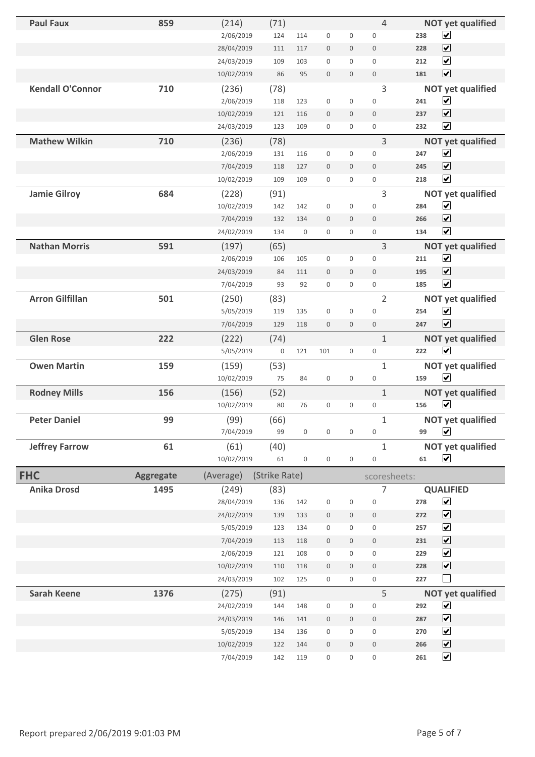| <b>Paul Faux</b>        | 859              | (214)      | (71)             |                  |                     |                     | $\overline{4}$      | <b>NOT yet qualified</b>               |
|-------------------------|------------------|------------|------------------|------------------|---------------------|---------------------|---------------------|----------------------------------------|
|                         |                  | 2/06/2019  | 124              | 114              | $\mathbf 0$         | $\boldsymbol{0}$    | $\mathbf 0$         | $\blacktriangledown$<br>238            |
|                         |                  | 28/04/2019 | 111              | 117              | $\boldsymbol{0}$    | $\mathsf{O}\xspace$ | $\mathbf 0$         | $\overline{\mathbf{v}}$<br>228         |
|                         |                  | 24/03/2019 | 109              | 103              | $\boldsymbol{0}$    | $\boldsymbol{0}$    | $\mathbf 0$         | $\blacktriangledown$<br>212            |
|                         |                  | 10/02/2019 | 86               | 95               | $\mathbf{0}$        | $\mathbf{0}$        | $\mathbf 0$         | $\overline{\mathbf{v}}$<br>181         |
| <b>Kendall O'Connor</b> | 710              | (236)      | (78)             |                  |                     |                     | 3                   | <b>NOT yet qualified</b>               |
|                         |                  | 2/06/2019  | 118              | 123              | $\boldsymbol{0}$    | $\boldsymbol{0}$    | $\mathbf 0$         | $\blacktriangledown$<br>241            |
|                         |                  | 10/02/2019 | 121              | 116              | $\mathbf{0}$        | $\boldsymbol{0}$    | $\mathbf{0}$        | $\overline{\mathbf{v}}$<br>237         |
|                         |                  | 24/03/2019 | 123              | 109              | $\mathsf{O}\xspace$ | $\mathbf 0$         | $\mathbf 0$         | $\blacktriangledown$<br>232            |
| <b>Mathew Wilkin</b>    | 710              | (236)      | (78)             |                  |                     |                     | 3                   | <b>NOT yet qualified</b>               |
|                         |                  | 2/06/2019  | 131              | 116              | $\boldsymbol{0}$    | $\boldsymbol{0}$    | $\mathbf 0$         | $\blacktriangledown$<br>247            |
|                         |                  | 7/04/2019  | 118              | 127              | $\boldsymbol{0}$    | $\boldsymbol{0}$    | $\boldsymbol{0}$    | $\overline{\blacktriangledown}$<br>245 |
|                         |                  | 10/02/2019 | 109              | 109              | $\mathsf{O}\xspace$ | $\mathbf 0$         | $\boldsymbol{0}$    | $\blacktriangledown$<br>218            |
| <b>Jamie Gilroy</b>     | 684              | (228)      | (91)             |                  |                     |                     | 3                   | <b>NOT yet qualified</b>               |
|                         |                  | 10/02/2019 | 142              | 142              | $\boldsymbol{0}$    | $\boldsymbol{0}$    | $\mathbf 0$         | $\blacktriangledown$<br>284            |
|                         |                  | 7/04/2019  | 132              | 134              | $\mathbf 0$         | $\mathbf 0$         | $\mathbf{0}$        | $\overline{\mathbf{v}}$<br>266         |
|                         |                  | 24/02/2019 | 134              | $\boldsymbol{0}$ | $\boldsymbol{0}$    | 0                   | $\mathbf 0$         | $\overline{\mathbf{v}}$<br>134         |
| <b>Nathan Morris</b>    | 591              | (197)      | (65)             |                  |                     |                     | 3                   | <b>NOT yet qualified</b>               |
|                         |                  | 2/06/2019  | 106              | 105              | $\boldsymbol{0}$    | $\mathbf 0$         | $\mathbf 0$         | $\overline{\mathbf{v}}$<br>211         |
|                         |                  | 24/03/2019 | 84               | 111              | $\mathbf 0$         | $\mathbf 0$         | $\mathbf{0}$        | $\blacktriangledown$<br>195            |
|                         |                  | 7/04/2019  | 93               | 92               | $\boldsymbol{0}$    | $\boldsymbol{0}$    | $\mathbf 0$         | $\overline{\mathbf{v}}$<br>185         |
| <b>Arron Gilfillan</b>  | 501              | (250)      | (83)             |                  |                     |                     | $\overline{2}$      | <b>NOT yet qualified</b>               |
|                         |                  | 5/05/2019  | 119              | 135              | $\boldsymbol{0}$    | $\mathbf 0$         | $\mathbf 0$         | $\blacktriangledown$<br>254            |
|                         |                  | 7/04/2019  | 129              | 118              | $\mathbf{0}$        | $\mathbf 0$         | $\mathbf{0}$        | $\overline{\mathbf{v}}$<br>247         |
| <b>Glen Rose</b>        | 222              | (222)      | (74)             |                  |                     |                     | $\mathbf{1}$        | <b>NOT yet qualified</b>               |
|                         |                  | 5/05/2019  | $\boldsymbol{0}$ | 121              | 101                 | $\mathbf 0$         | $\mathsf{O}\xspace$ | $\overline{\mathbf{v}}$<br>222         |
| <b>Owen Martin</b>      | 159              | (159)      | (53)             |                  |                     |                     | $\mathbf{1}$        | <b>NOT yet qualified</b>               |
|                         |                  | 10/02/2019 | 75               | 84               | $\boldsymbol{0}$    | $\boldsymbol{0}$    | $\mathbf 0$         | $\overline{\mathbf{v}}$<br>159         |
| <b>Rodney Mills</b>     | 156              | (156)      | (52)             |                  |                     |                     | $\mathbf{1}$        | <b>NOT yet qualified</b>               |
|                         |                  | 10/02/2019 | 80               | 76               | $\boldsymbol{0}$    | $\boldsymbol{0}$    | $\mathbf 0$         | $\blacktriangledown$<br>156            |
| <b>Peter Daniel</b>     | 99               | (99)       | (66)             |                  |                     |                     | $\mathbf{1}$        | <b>NOT yet qualified</b>               |
|                         |                  | 7/04/2019  | 99               | $\boldsymbol{0}$ | 0                   | 0                   | $\boldsymbol{0}$    | $\blacktriangledown$<br>99             |
| <b>Jeffrey Farrow</b>   | 61               | (61)       | (40)             |                  |                     |                     | $\mathbf{1}$        | <b>NOT yet qualified</b>               |
|                         |                  | 10/02/2019 | 61               | $\boldsymbol{0}$ | $\boldsymbol{0}$    | $\boldsymbol{0}$    | $\boldsymbol{0}$    | $\blacktriangledown$<br>61             |
| <b>FHC</b>              | <b>Aggregate</b> | (Average)  | (Strike Rate)    |                  |                     |                     | scoresheets:        |                                        |
| <b>Anika Drosd</b>      | 1495             | (249)      | (83)             |                  |                     |                     | $\overline{7}$      | <b>QUALIFIED</b>                       |
|                         |                  | 28/04/2019 | 136              | 142              | $\boldsymbol{0}$    | $\boldsymbol{0}$    | $\boldsymbol{0}$    | $\blacktriangledown$<br>278            |
|                         |                  | 24/02/2019 | 139              | 133              | $\boldsymbol{0}$    | $\mathsf{O}\xspace$ | $\boldsymbol{0}$    | $\blacktriangledown$<br>272            |
|                         |                  | 5/05/2019  | 123              | 134              | $\boldsymbol{0}$    | 0                   | $\boldsymbol{0}$    | $\blacktriangledown$<br>257            |
|                         |                  | 7/04/2019  | 113              | 118              | $\boldsymbol{0}$    | $\mathsf{O}\xspace$ | $\,0\,$             | $\blacktriangledown$<br>231            |
|                         |                  | 2/06/2019  | 121              | 108              | $\boldsymbol{0}$    | $\boldsymbol{0}$    | $\boldsymbol{0}$    | $\blacktriangledown$<br>229            |
|                         |                  | 10/02/2019 | 110              | 118              | $\boldsymbol{0}$    | $\mathsf{O}\xspace$ | $\boldsymbol{0}$    | $\blacktriangledown$<br>228            |
|                         |                  | 24/03/2019 | 102              | 125              | 0                   | 0                   | $\boldsymbol{0}$    | $\Box$<br>227                          |
| <b>Sarah Keene</b>      | 1376             | (275)      | (91)             |                  |                     |                     | 5                   | <b>NOT yet qualified</b>               |
|                         |                  | 24/02/2019 | 144              | 148              | $\boldsymbol{0}$    | $\boldsymbol{0}$    | $\boldsymbol{0}$    | $\blacktriangledown$<br>292            |
|                         |                  | 24/03/2019 | 146              | 141              | $\boldsymbol{0}$    | $\mathsf{O}\xspace$ | $\boldsymbol{0}$    | $\blacktriangledown$<br>287            |
|                         |                  | 5/05/2019  | 134              | 136              | $\boldsymbol{0}$    | 0                   | $\boldsymbol{0}$    | $\blacktriangledown$<br>270            |
|                         |                  | 10/02/2019 | 122              | 144              | $\boldsymbol{0}$    | $\mathbf 0$         | $\boldsymbol{0}$    | $\blacktriangledown$<br>266            |
|                         |                  | 7/04/2019  | 142              | 119              | $\boldsymbol{0}$    | 0                   | $\boldsymbol{0}$    | $\blacktriangledown$<br>261            |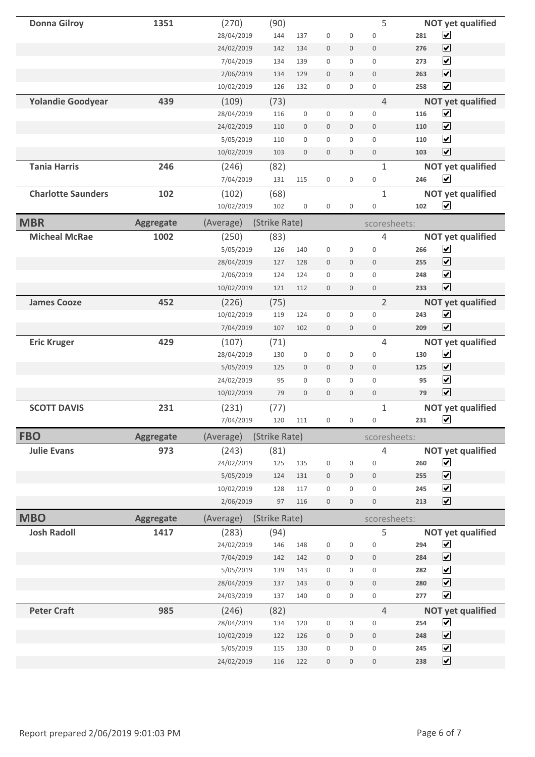| <b>Donna Gilroy</b>       | 1351             | (270)               | (90)          |                  |                  |                  | 5                                  |                | <b>NOT yet qualified</b>                         |
|---------------------------|------------------|---------------------|---------------|------------------|------------------|------------------|------------------------------------|----------------|--------------------------------------------------|
|                           |                  | 28/04/2019          | 144           | 137              | $\boldsymbol{0}$ | $\boldsymbol{0}$ | $\boldsymbol{0}$                   | 281            | $\overline{\mathbf{v}}$                          |
|                           |                  | 24/02/2019          | 142           | 134              | $\boldsymbol{0}$ | $\boldsymbol{0}$ | $\boldsymbol{0}$                   | 276            | $\overline{\mathbf{v}}$                          |
|                           |                  | 7/04/2019           | 134           | 139              | $\mathbf 0$      | $\boldsymbol{0}$ | $\boldsymbol{0}$                   | 273            | $\blacktriangledown$                             |
|                           |                  | 2/06/2019           | 134           | 129              | $\mathbf 0$      | $\mathbf 0$      | $\mathbf 0$                        | 263            | $\blacktriangledown$                             |
|                           |                  | 10/02/2019          | 126           | 132              | $\boldsymbol{0}$ | $\boldsymbol{0}$ | $\mathsf{O}\xspace$                | 258            | $\overline{\mathbf{v}}$                          |
| <b>Yolandie Goodyear</b>  | 439              | (109)               | (73)          |                  |                  |                  | $\overline{4}$                     |                | <b>NOT yet qualified</b>                         |
|                           |                  | 28/04/2019          | 116           | $\boldsymbol{0}$ | $\boldsymbol{0}$ | $\boldsymbol{0}$ | $\boldsymbol{0}$                   | 116            | $\overline{\mathbf{v}}$                          |
|                           |                  | 24/02/2019          | 110           | $\mathbf 0$      | $\mathbf 0$      | $\boldsymbol{0}$ | $\boldsymbol{0}$                   | 110            | $\blacktriangledown$                             |
|                           |                  | 5/05/2019           | 110           | $\boldsymbol{0}$ | $\boldsymbol{0}$ | $\boldsymbol{0}$ | $\mathbf 0$                        | 110            | $\overline{\mathbf{v}}$                          |
|                           |                  | 10/02/2019          | 103           | $\mathbf 0$      | $\mathbf 0$      | $\mathbf 0$      | $\mathbf 0$                        | 103            | $\overline{\mathbf{v}}$                          |
| <b>Tania Harris</b>       | 246              | (246)               | (82)          |                  |                  |                  | $\mathbf{1}$                       |                | <b>NOT yet qualified</b>                         |
|                           |                  | 7/04/2019           | 131           | 115              | $\boldsymbol{0}$ | $\boldsymbol{0}$ | $\boldsymbol{0}$                   | 246            | $\blacktriangledown$                             |
| <b>Charlotte Saunders</b> | 102              | (102)               | (68)          |                  |                  |                  | $\mathbf{1}$                       |                | <b>NOT yet qualified</b>                         |
|                           |                  | 10/02/2019          | 102           | $\boldsymbol{0}$ | $\boldsymbol{0}$ | $\boldsymbol{0}$ | $\boldsymbol{0}$                   | 102            | $\blacktriangledown$                             |
| <b>MBR</b>                | <b>Aggregate</b> | (Average)           | (Strike Rate) |                  |                  |                  | scoresheets:                       |                |                                                  |
| <b>Micheal McRae</b>      | 1002             | (250)               | (83)          |                  |                  |                  | $\overline{4}$                     |                | <b>NOT yet qualified</b>                         |
|                           |                  | 5/05/2019           | 126           | 140              | $\boldsymbol{0}$ | $\boldsymbol{0}$ | $\mathbf 0$                        | 266            | $\blacktriangledown$                             |
|                           |                  | 28/04/2019          | 127           | 128              | $\mathbf 0$      | $\boldsymbol{0}$ | $\mathbf{0}$                       | 255            | $\overline{\mathbf{v}}$                          |
|                           |                  | 2/06/2019           | 124           | 124              | $\boldsymbol{0}$ | $\boldsymbol{0}$ | $\boldsymbol{0}$                   | 248            | $\blacktriangledown$                             |
|                           |                  | 10/02/2019          | 121           | 112              | $\mathbf 0$      | $\boldsymbol{0}$ | $\boldsymbol{0}$                   | 233            | $\overline{\mathbf{v}}$                          |
| <b>James Cooze</b>        | 452              | (226)               | (75)          |                  |                  |                  | $\overline{2}$                     |                | <b>NOT yet qualified</b>                         |
|                           |                  | 10/02/2019          | 119           | 124              | $\mathbf 0$      | $\boldsymbol{0}$ | $\boldsymbol{0}$                   | 243            | $\blacktriangledown$                             |
|                           |                  | 7/04/2019           | 107           | 102              | $\mathbf 0$      | $\boldsymbol{0}$ | $\mathbf 0$                        | 209            | $\overline{\mathbf{v}}$                          |
| <b>Eric Kruger</b>        | 429              | (107)               | (71)          |                  |                  |                  | 4                                  |                | <b>NOT yet qualified</b>                         |
|                           |                  | 28/04/2019          | 130           | $\boldsymbol{0}$ | $\boldsymbol{0}$ | $\boldsymbol{0}$ | $\mathbf 0$                        | 130            | $\blacktriangledown$                             |
|                           |                  | 5/05/2019           | 125           | $\boldsymbol{0}$ | $\boldsymbol{0}$ | $\boldsymbol{0}$ | $\mathbf 0$                        | 125            | $\overline{\mathbf{v}}$                          |
|                           |                  | 24/02/2019          | 95            | $\boldsymbol{0}$ | $\boldsymbol{0}$ | $\boldsymbol{0}$ | $\mathbf 0$                        | 95             | $\blacktriangledown$                             |
|                           |                  | 10/02/2019          | 79            | $\boldsymbol{0}$ | $\boldsymbol{0}$ | $\mathbf 0$      | $\boldsymbol{0}$                   | 79             | $\blacktriangledown$                             |
| <b>SCOTT DAVIS</b>        | 231              | (231)               | (77)          |                  |                  |                  | $\mathbf{1}$                       |                | <b>NOT yet qualified</b>                         |
|                           |                  | 7/04/2019           | 120           | 111              | $\overline{0}$   | $\overline{0}$   | $\mathbf 0$                        | 231 $\sqrt{ }$ |                                                  |
| <b>FBO</b>                | <b>Aggregate</b> |                     | (Strike Rate) |                  |                  |                  |                                    |                |                                                  |
|                           |                  | (Average)           |               |                  |                  |                  | scoresheets:                       |                |                                                  |
| <b>Julie Evans</b>        | 973              | (243)<br>24/02/2019 | (81)<br>125   | 135              | $\boldsymbol{0}$ | $\boldsymbol{0}$ | $\overline{4}$<br>$\boldsymbol{0}$ | 260            | <b>NOT yet qualified</b><br>$\blacktriangledown$ |
|                           |                  | 5/05/2019           | 124           | 131              | $\boldsymbol{0}$ | $\boldsymbol{0}$ | $\boldsymbol{0}$                   | 255            | $\blacktriangledown$                             |
|                           |                  | 10/02/2019          | 128           | 117              | $\boldsymbol{0}$ | $\boldsymbol{0}$ | $\boldsymbol{0}$                   | 245            | $\overline{\mathbf{v}}$                          |
|                           |                  | 2/06/2019           | 97            | 116              | $\boldsymbol{0}$ | $\boldsymbol{0}$ | $\boldsymbol{0}$                   | 213            | $\blacktriangledown$                             |
|                           |                  |                     |               |                  |                  |                  |                                    |                |                                                  |
| <b>MBO</b>                | <b>Aggregate</b> | (Average)           | (Strike Rate) |                  |                  |                  | scoresheets:<br>5                  |                |                                                  |
| <b>Josh Radoll</b>        | 1417             | (283)<br>24/02/2019 | (94)<br>146   | 148              | $\boldsymbol{0}$ | $\boldsymbol{0}$ | $\boldsymbol{0}$                   | 294            | <b>NOT yet qualified</b><br>$\blacktriangledown$ |
|                           |                  | 7/04/2019           | 142           | 142              | $\boldsymbol{0}$ | $\boldsymbol{0}$ | $\mathbf 0$                        | 284            | $\blacktriangledown$                             |
|                           |                  | 5/05/2019           | 139           | 143              | $\boldsymbol{0}$ | $\boldsymbol{0}$ | $\boldsymbol{0}$                   | 282            | $\blacktriangledown$                             |
|                           |                  | 28/04/2019          | 137           | 143              | $\boldsymbol{0}$ | $\boldsymbol{0}$ | $\,0\,$                            | 280            | $\blacktriangledown$                             |
|                           |                  | 24/03/2019          | 137           | 140              | $\boldsymbol{0}$ | 0                | $\mathsf{O}\xspace$                | 277            | $\blacktriangledown$                             |
|                           |                  |                     |               |                  |                  |                  |                                    |                |                                                  |
| <b>Peter Craft</b>        | 985              | (246)               | (82)          |                  |                  |                  | $\overline{4}$                     |                | <b>NOT yet qualified</b>                         |
|                           |                  | 28/04/2019          | 134           | 120<br>126       | $\boldsymbol{0}$ | $\boldsymbol{0}$ | $\boldsymbol{0}$                   | 254<br>248     | $\blacktriangledown$<br>$\blacktriangledown$     |
|                           |                  | 10/02/2019          | 122           |                  | $\boldsymbol{0}$ | $\boldsymbol{0}$ | $\boldsymbol{0}$                   |                | $\blacktriangledown$                             |
|                           |                  | 5/05/2019           | 115           | 130              | $\boldsymbol{0}$ | $\boldsymbol{0}$ | $\boldsymbol{0}$                   | 245            |                                                  |
|                           |                  | 24/02/2019          | 116           | 122              | $\boldsymbol{0}$ | $\boldsymbol{0}$ | $\boldsymbol{0}$                   | 238            | $\overline{\mathbf{v}}$                          |